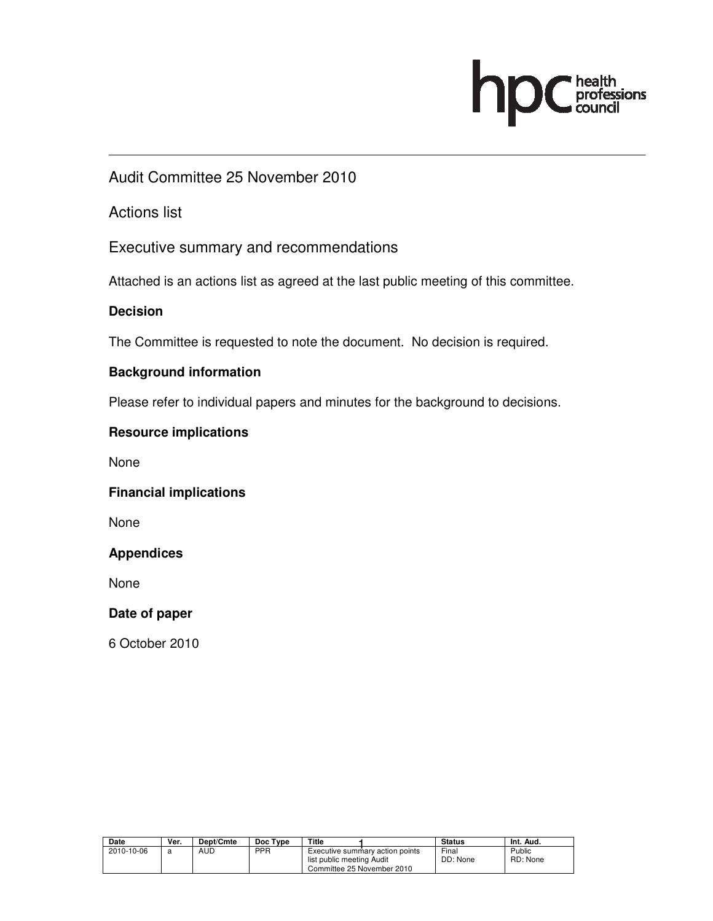# health<br>professions<br>council h

Audit Committee 25 November 2010

Actions list

Executive summary and recommendations

Attached is an actions list as agreed at the last public meeting of this committee.

## **Decision**

The Committee is requested to note the document. No decision is required.

## **Background information**

Please refer to individual papers and minutes for the background to decisions.

## **Resource implications**

None

#### **Financial implications**

None

#### **Appendices**

None

#### **Date of paper**

6 October 2010

| Date       | Ver. | Dept/Cmte | Doc Type   | Title                                                                                      | <b>Status</b>     | Int. Aud.          |
|------------|------|-----------|------------|--------------------------------------------------------------------------------------------|-------------------|--------------------|
| 2010-10-06 |      | AUD       | <b>PPR</b> | Executive summary action points<br>list public meeting Audit<br>Committee 25 November 2010 | Final<br>DD: None | Public<br>RD: None |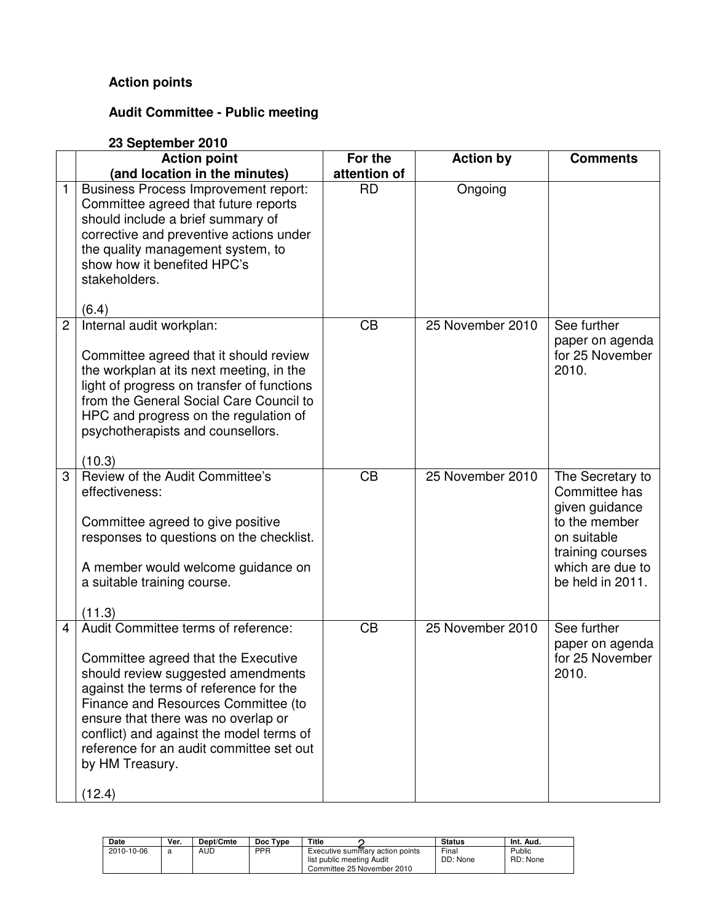# **Action points**

# **Audit Committee - Public meeting**

|                | 23 September 2010                                                                                                                                                                                                                                                                                                                                             |                         |                  |                                                                                                                                                 |  |  |  |
|----------------|---------------------------------------------------------------------------------------------------------------------------------------------------------------------------------------------------------------------------------------------------------------------------------------------------------------------------------------------------------------|-------------------------|------------------|-------------------------------------------------------------------------------------------------------------------------------------------------|--|--|--|
|                | <b>Action point</b><br>(and location in the minutes)                                                                                                                                                                                                                                                                                                          | For the<br>attention of | <b>Action by</b> | <b>Comments</b>                                                                                                                                 |  |  |  |
| 1              | <b>Business Process Improvement report:</b><br>Committee agreed that future reports<br>should include a brief summary of<br>corrective and preventive actions under<br>the quality management system, to<br>show how it benefited HPC's<br>stakeholders.<br>(6.4)                                                                                             | <b>RD</b>               | Ongoing          |                                                                                                                                                 |  |  |  |
| $\overline{2}$ | Internal audit workplan:<br>Committee agreed that it should review<br>the workplan at its next meeting, in the<br>light of progress on transfer of functions<br>from the General Social Care Council to<br>HPC and progress on the regulation of<br>psychotherapists and counsellors.<br>(10.3)                                                               | CB                      | 25 November 2010 | See further<br>paper on agenda<br>for 25 November<br>2010.                                                                                      |  |  |  |
| 3              | Review of the Audit Committee's<br>effectiveness:<br>Committee agreed to give positive<br>responses to questions on the checklist.<br>A member would welcome guidance on<br>a suitable training course.<br>(11.3)                                                                                                                                             | CB                      | 25 November 2010 | The Secretary to<br>Committee has<br>given guidance<br>to the member<br>on suitable<br>training courses<br>which are due to<br>be held in 2011. |  |  |  |
| 4              | Audit Committee terms of reference:<br>Committee agreed that the Executive<br>should review suggested amendments<br>against the terms of reference for the<br>Finance and Resources Committee (to<br>ensure that there was no overlap or<br>conflict) and against the model terms of<br>reference for an audit committee set out<br>by HM Treasury.<br>(12.4) | CB                      | 25 November 2010 | See further<br>paper on agenda<br>for 25 November<br>2010.                                                                                      |  |  |  |

| Date       | Ver. | <b>Dept/Cmte</b> | Doc Type | Title                                                                                      | <b>Status</b>     | Int. Aud.          |
|------------|------|------------------|----------|--------------------------------------------------------------------------------------------|-------------------|--------------------|
| 2010-10-06 | a    | AUD              | PPR      | Executive summary action points<br>list public meeting Audit<br>Committee 25 November 2010 | Final<br>DD: None | Public<br>RD: None |